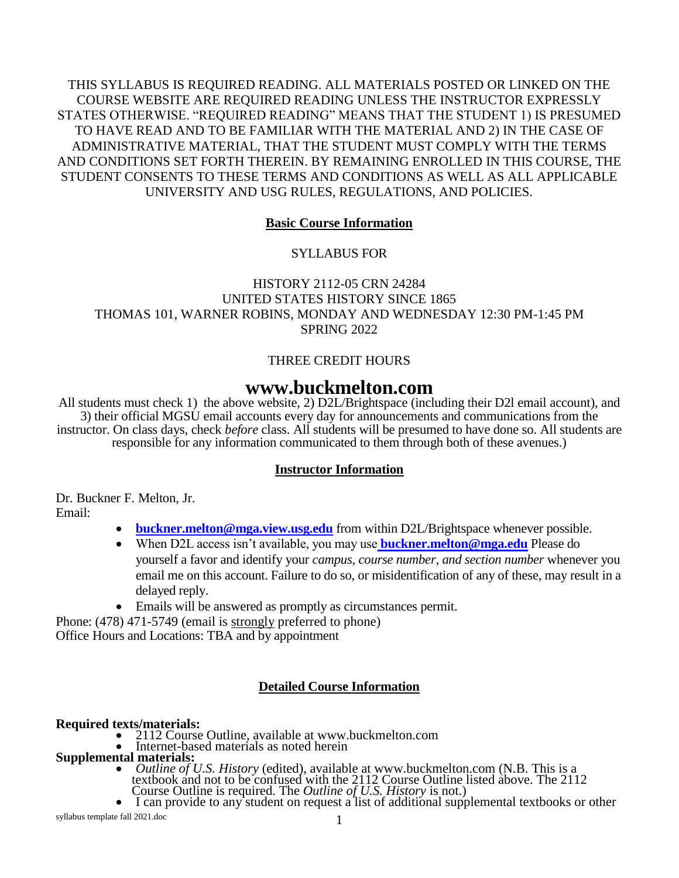THIS SYLLABUS IS REQUIRED READING. ALL MATERIALS POSTED OR LINKED ON THE COURSE WEBSITE ARE REQUIRED READING UNLESS THE INSTRUCTOR EXPRESSLY STATES OTHERWISE. "REQUIRED READING" MEANS THAT THE STUDENT 1) IS PRESUMED TO HAVE READ AND TO BE FAMILIAR WITH THE MATERIAL AND 2) IN THE CASE OF ADMINISTRATIVE MATERIAL, THAT THE STUDENT MUST COMPLY WITH THE TERMS AND CONDITIONS SET FORTH THEREIN. BY REMAINING ENROLLED IN THIS COURSE, THE STUDENT CONSENTS TO THESE TERMS AND CONDITIONS AS WELL AS ALL APPLICABLE UNIVERSITY AND USG RULES, REGULATIONS, AND POLICIES.

## **Basic Course Information**

## SYLLABUS FOR

HISTORY 2112-05 CRN 24284 UNITED STATES HISTORY SINCE 1865 THOMAS 101, WARNER ROBINS, MONDAY AND WEDNESDAY 12:30 PM-1:45 PM SPRING 2022

## THREE CREDIT HOURS

# **www.buckmelton.com**

All students must check 1) the above website, 2) D2L/Brightspace (including their D2l email account), and 3) their official MGSU email accounts every day for announcements and communications from the instructor. On class days, check *before* class. All students will be presumed to have done so. All students are responsible for any information communicated to them through both of these avenues.)

## **Instructor Information**

Dr. Buckner F. Melton, Jr. Email:

- **[buckner.melton@mga.view.usg.edu](mailto:buckner.melton@mga.view.usg.edu)** from within D2L/Brightspace whenever possible.
- When D2L access isn't available, you may use **[buckner.melton@mga.edu](%20buckner.melton@mga.edu)** Please do yourself a favor and identify your *campus, course number, and section number* whenever you email me on this account. Failure to do so, or misidentification of any of these, may result in a delayed reply.
- Emails will be answered as promptly as circumstances permit.

Phone: (478) 471-5749 (email is strongly preferred to phone) Office Hours and Locations: TBA and by appointment

## **Detailed Course Information**

## **Required texts/materials:**

- 2112 Course Outline, available at www.buckmelton.com
- Internet-based materials as noted herein
- **Supplemental materials:**
	- *Outline of U.S. History* (edited), available at www.buckmelton.com (N.B. This is a textbook and not to be confused with the 2112 Course Outline listed above. The 2112 Course Outline is required. The *Outline of U.S. History* is not.)
	- I can provide to any student on request a list of additional supplemental textbooks or other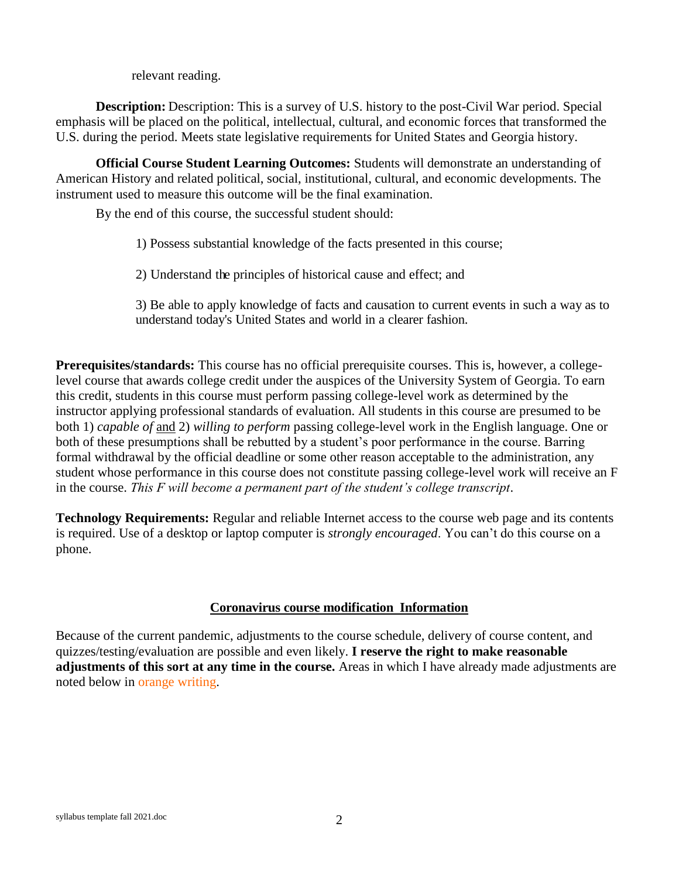relevant reading.

**Description:** Description: This is a survey of U.S. history to the post-Civil War period. Special emphasis will be placed on the political, intellectual, cultural, and economic forces that transformed the U.S. during the period. Meets state legislative requirements for United States and Georgia history.

**Official Course Student Learning Outcomes:** Students will demonstrate an understanding of American History and related political, social, institutional, cultural, and economic developments. The instrument used to measure this outcome will be the final examination.

By the end of this course, the successful student should:

- 1) Possess substantial knowledge of the facts presented in this course;
- 2) Understand the principles of historical cause and effect; and

3) Be able to apply knowledge of facts and causation to current events in such a way as to understand today's United States and world in a clearer fashion.

**Prerequisites/standards:** This course has no official prerequisite courses. This is, however, a collegelevel course that awards college credit under the auspices of the University System of Georgia. To earn this credit, students in this course must perform passing college-level work as determined by the instructor applying professional standards of evaluation. All students in this course are presumed to be both 1) *capable of* and 2) *willing to perform* passing college-level work in the English language. One or both of these presumptions shall be rebutted by a student's poor performance in the course. Barring formal withdrawal by the official deadline or some other reason acceptable to the administration, any student whose performance in this course does not constitute passing college-level work will receive an F in the course. *This F will become a permanent part of the student's college transcript*.

**Technology Requirements:** Regular and reliable Internet access to the course web page and its contents is required. Use of a desktop or laptop computer is *strongly encouraged*. You can't do this course on a phone.

## **Coronavirus course modification Information**

Because of the current pandemic, adjustments to the course schedule, delivery of course content, and quizzes/testing/evaluation are possible and even likely. **I reserve the right to make reasonable adjustments of this sort at any time in the course.** Areas in which I have already made adjustments are noted below in orange writing.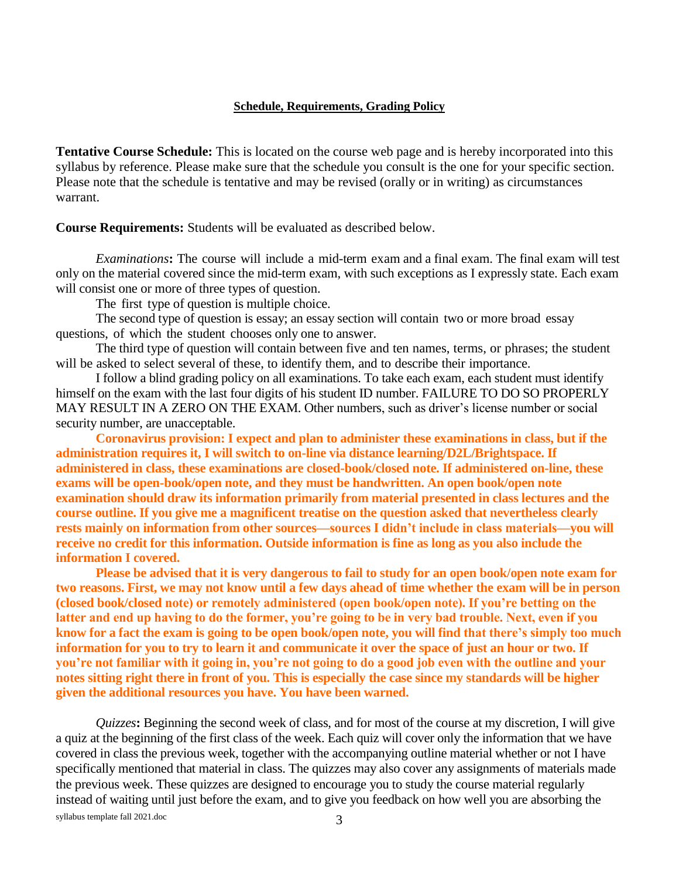#### **Schedule, Requirements, Grading Policy**

**Tentative Course Schedule:** This is located on the course web page and is hereby incorporated into this syllabus by reference. Please make sure that the schedule you consult is the one for your specific section. Please note that the schedule is tentative and may be revised (orally or in writing) as circumstances warrant.

**Course Requirements:** Students will be evaluated as described below.

*Examinations***:** The course will include a mid-term exam and a final exam. The final exam will test only on the material covered since the mid-term exam, with such exceptions as I expressly state. Each exam will consist one or more of three types of question.

The first type of question is multiple choice.

The second type of question is essay; an essay section will contain two or more broad essay questions, of which the student chooses only one to answer.

The third type of question will contain between five and ten names, terms, or phrases; the student will be asked to select several of these, to identify them, and to describe their importance.

I follow a blind grading policy on all examinations. To take each exam, each student must identify himself on the exam with the last four digits of his student ID number. FAILURE TO DO SO PROPERLY MAY RESULT IN A ZERO ON THE EXAM. Other numbers, such as driver's license number or social security number, are unacceptable.

**Coronavirus provision: I expect and plan to administer these examinations in class, but if the administration requires it, I will switch to on-line via distance learning/D2L/Brightspace. If administered in class, these examinations are closed-book/closed note. If administered on-line, these exams will be open-book/open note, and they must be handwritten. An open book/open note examination should draw its information primarily from material presented in class lectures and the course outline. If you give me a magnificent treatise on the question asked that nevertheless clearly rests mainly on information from other sources—sources I didn't include in class materials—you will receive no credit for this information. Outside information is fine as long as you also include the information I covered.** 

**Please be advised that it is very dangerous to fail to study for an open book/open note exam for two reasons. First, we may not know until a few days ahead of time whether the exam will be in person (closed book/closed note) or remotely administered (open book/open note). If you're betting on the latter and end up having to do the former, you're going to be in very bad trouble. Next, even if you know for a fact the exam is going to be open book/open note, you will find that there's simply too much information for you to try to learn it and communicate it over the space of just an hour or two. If you're not familiar with it going in, you're not going to do a good job even with the outline and your notes sitting right there in front of you. This is especially the case since my standards will be higher given the additional resources you have. You have been warned.**

syllabus template fall 2021.doc 3 *Quizzes***:** Beginning the second week of class, and for most of the course at my discretion, I will give a quiz at the beginning of the first class of the week. Each quiz will cover only the information that we have covered in class the previous week, together with the accompanying outline material whether or not I have specifically mentioned that material in class. The quizzes may also cover any assignments of materials made the previous week. These quizzes are designed to encourage you to study the course material regularly instead of waiting until just before the exam, and to give you feedback on how well you are absorbing the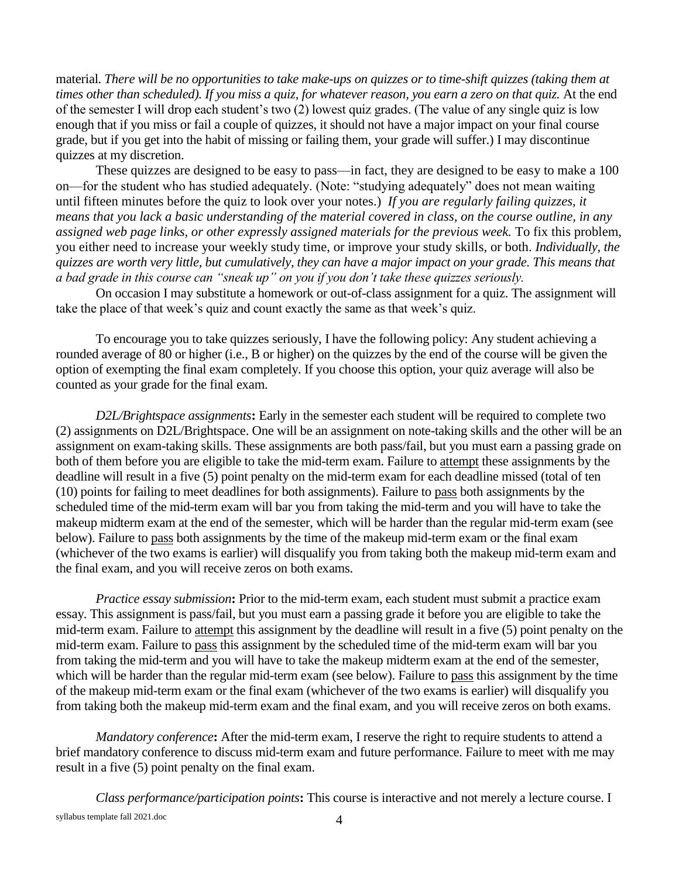material. *There will be no opportunities to take make-ups on quizzes or to time-shift quizzes (taking them at times other than scheduled). If you miss a quiz, for whatever reason, you earn a zero on that quiz.* At the end of the semester I will drop each student's two (2) lowest quiz grades. (The value of any single quiz is low enough that if you miss or fail a couple of quizzes, it should not have a major impact on your final course grade, but if you get into the habit of missing or failing them, your grade will suffer.) I may discontinue quizzes at my discretion.

These quizzes are designed to be easy to pass—in fact, they are designed to be easy to make a 100 on—for the student who has studied adequately. (Note: "studying adequately" does not mean waiting until fifteen minutes before the quiz to look over your notes.) *If you are regularly failing quizzes, it means that you lack a basic understanding of the material covered in class, on the course outline, in any assigned web page links, or other expressly assigned materials for the previous week.* To fix this problem, you either need to increase your weekly study time, or improve your study skills, or both. *Individually, the quizzes are worth very little, but cumulatively, they can have a major impact on your grade. This means that a bad grade in this course can "sneak up" on you if you don't take these quizzes seriously.*

On occasion I may substitute a homework or out-of-class assignment for a quiz. The assignment will take the place of that week's quiz and count exactly the same as that week's quiz.

To encourage you to take quizzes seriously, I have the following policy: Any student achieving a rounded average of 80 or higher (i.e., B or higher) on the quizzes by the end of the course will be given the option of exempting the final exam completely. If you choose this option, your quiz average will also be counted as your grade for the final exam.

*D2L/Brightspace assignments***:** Early in the semester each student will be required to complete two (2) assignments on D2L/Brightspace. One will be an assignment on note-taking skills and the other will be an assignment on exam-taking skills. These assignments are both pass/fail, but you must earn a passing grade on both of them before you are eligible to take the mid-term exam. Failure to attempt these assignments by the deadline will result in a five (5) point penalty on the mid-term exam for each deadline missed (total of ten (10) points for failing to meet deadlines for both assignments). Failure to pass both assignments by the scheduled time of the mid-term exam will bar you from taking the mid-term and you will have to take the makeup midterm exam at the end of the semester, which will be harder than the regular mid-term exam (see below). Failure to pass both assignments by the time of the makeup mid-term exam or the final exam (whichever of the two exams is earlier) will disqualify you from taking both the makeup mid-term exam and the final exam, and you will receive zeros on both exams.

*Practice essay submission***:** Prior to the mid-term exam, each student must submit a practice exam essay. This assignment is pass/fail, but you must earn a passing grade it before you are eligible to take the mid-term exam. Failure to attempt this assignment by the deadline will result in a five (5) point penalty on the mid-term exam. Failure to pass this assignment by the scheduled time of the mid-term exam will bar you from taking the mid-term and you will have to take the makeup midterm exam at the end of the semester, which will be harder than the regular mid-term exam (see below). Failure to pass this assignment by the time of the makeup mid-term exam or the final exam (whichever of the two exams is earlier) will disqualify you from taking both the makeup mid-term exam and the final exam, and you will receive zeros on both exams.

*Mandatory conference***:** After the mid-term exam, I reserve the right to require students to attend a brief mandatory conference to discuss mid-term exam and future performance. Failure to meet with me may result in a five (5) point penalty on the final exam.

syllabus template fall 2021.doc 4 *Class performance/participation points***:** This course is interactive and not merely a lecture course. I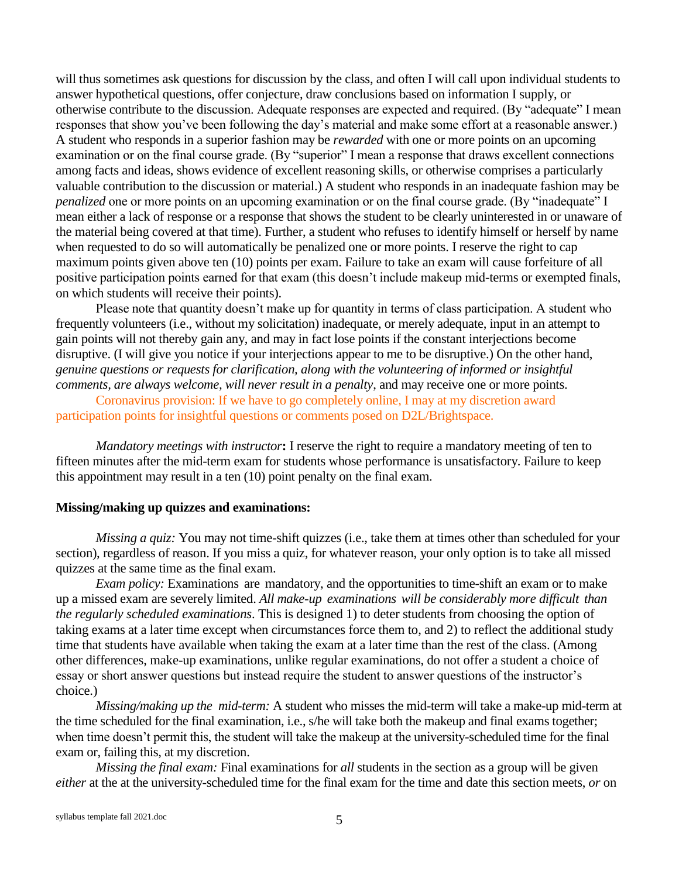will thus sometimes ask questions for discussion by the class, and often I will call upon individual students to answer hypothetical questions, offer conjecture, draw conclusions based on information I supply, or otherwise contribute to the discussion. Adequate responses are expected and required. (By "adequate" I mean responses that show you've been following the day's material and make some effort at a reasonable answer.) A student who responds in a superior fashion may be *rewarded* with one or more points on an upcoming examination or on the final course grade. (By "superior" I mean a response that draws excellent connections among facts and ideas, shows evidence of excellent reasoning skills, or otherwise comprises a particularly valuable contribution to the discussion or material.) A student who responds in an inadequate fashion may be *penalized* one or more points on an upcoming examination or on the final course grade. (By "inadequate" I mean either a lack of response or a response that shows the student to be clearly uninterested in or unaware of the material being covered at that time). Further, a student who refuses to identify himself or herself by name when requested to do so will automatically be penalized one or more points. I reserve the right to cap maximum points given above ten (10) points per exam. Failure to take an exam will cause forfeiture of all positive participation points earned for that exam (this doesn't include makeup mid-terms or exempted finals, on which students will receive their points).

Please note that quantity doesn't make up for quantity in terms of class participation. A student who frequently volunteers (i.e., without my solicitation) inadequate, or merely adequate, input in an attempt to gain points will not thereby gain any, and may in fact lose points if the constant interjections become disruptive. (I will give you notice if your interjections appear to me to be disruptive.) On the other hand, *genuine questions or requests for clarification, along with the volunteering of informed or insightful comments, are always welcome, will never result in a penalty*, and may receive one or more points.

Coronavirus provision: If we have to go completely online, I may at my discretion award participation points for insightful questions or comments posed on D2L/Brightspace.

*Mandatory meetings with instructor***:** I reserve the right to require a mandatory meeting of ten to fifteen minutes after the mid-term exam for students whose performance is unsatisfactory. Failure to keep this appointment may result in a ten (10) point penalty on the final exam.

#### **Missing/making up quizzes and examinations:**

*Missing a quiz:* You may not time-shift quizzes (i.e., take them at times other than scheduled for your section), regardless of reason. If you miss a quiz, for whatever reason, your only option is to take all missed quizzes at the same time as the final exam.

*Exam policy:* Examinations are mandatory, and the opportunities to time-shift an exam or to make up a missed exam are severely limited. *All make-up examinations will be considerably more difficult than the regularly scheduled examinations*. This is designed 1) to deter students from choosing the option of taking exams at a later time except when circumstances force them to, and 2) to reflect the additional study time that students have available when taking the exam at a later time than the rest of the class. (Among other differences, make-up examinations, unlike regular examinations, do not offer a student a choice of essay or short answer questions but instead require the student to answer questions of the instructor's choice.)

*Missing/making up the mid-term:* A student who misses the mid-term will take a make-up mid-term at the time scheduled for the final examination, i.e., s/he will take both the makeup and final exams together; when time doesn't permit this, the student will take the makeup at the university-scheduled time for the final exam or, failing this, at my discretion.

*Missing the final exam:* Final examinations for *all* students in the section as a group will be given *either* at the at the university-scheduled time for the final exam for the time and date this section meets, *or* on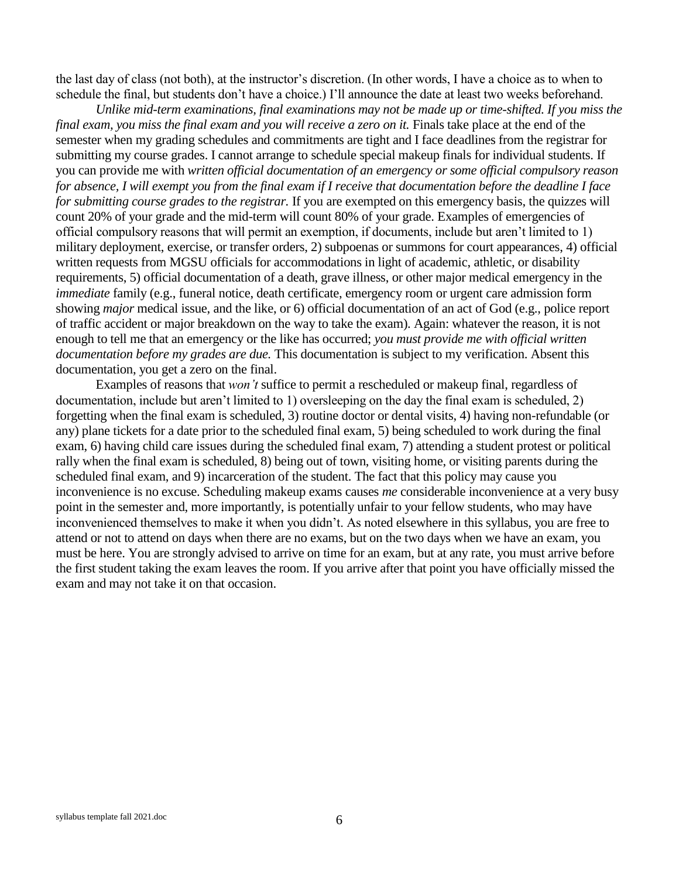the last day of class (not both), at the instructor's discretion. (In other words, I have a choice as to when to schedule the final, but students don't have a choice.) I'll announce the date at least two weeks beforehand.

*Unlike mid-term examinations, final examinations may not be made up or time-shifted. If you miss the final exam, you miss the final exam and you will receive a zero on it. Finals take place at the end of the* semester when my grading schedules and commitments are tight and I face deadlines from the registrar for submitting my course grades. I cannot arrange to schedule special makeup finals for individual students. If you can provide me with *written official documentation of an emergency or some official compulsory reason for absence, I will exempt you from the final exam if I receive that documentation before the deadline I face for submitting course grades to the registrar.* If you are exempted on this emergency basis, the quizzes will count 20% of your grade and the mid-term will count 80% of your grade. Examples of emergencies of official compulsory reasons that will permit an exemption, if documents, include but aren't limited to 1) military deployment, exercise, or transfer orders, 2) subpoenas or summons for court appearances, 4) official written requests from MGSU officials for accommodations in light of academic, athletic, or disability requirements, 5) official documentation of a death, grave illness, or other major medical emergency in the *immediate* family (e.g., funeral notice, death certificate, emergency room or urgent care admission form showing *major* medical issue, and the like, or 6) official documentation of an act of God (e.g., police report of traffic accident or major breakdown on the way to take the exam). Again: whatever the reason, it is not enough to tell me that an emergency or the like has occurred; *you must provide me with official written documentation before my grades are due.* This documentation is subject to my verification. Absent this documentation, you get a zero on the final.

Examples of reasons that *won't* suffice to permit a rescheduled or makeup final, regardless of documentation, include but aren't limited to 1) oversleeping on the day the final exam is scheduled, 2) forgetting when the final exam is scheduled, 3) routine doctor or dental visits, 4) having non-refundable (or any) plane tickets for a date prior to the scheduled final exam, 5) being scheduled to work during the final exam, 6) having child care issues during the scheduled final exam, 7) attending a student protest or political rally when the final exam is scheduled, 8) being out of town, visiting home, or visiting parents during the scheduled final exam, and 9) incarceration of the student. The fact that this policy may cause you inconvenience is no excuse. Scheduling makeup exams causes *me* considerable inconvenience at a very busy point in the semester and, more importantly, is potentially unfair to your fellow students, who may have inconvenienced themselves to make it when you didn't. As noted elsewhere in this syllabus, you are free to attend or not to attend on days when there are no exams, but on the two days when we have an exam, you must be here. You are strongly advised to arrive on time for an exam, but at any rate, you must arrive before the first student taking the exam leaves the room. If you arrive after that point you have officially missed the exam and may not take it on that occasion.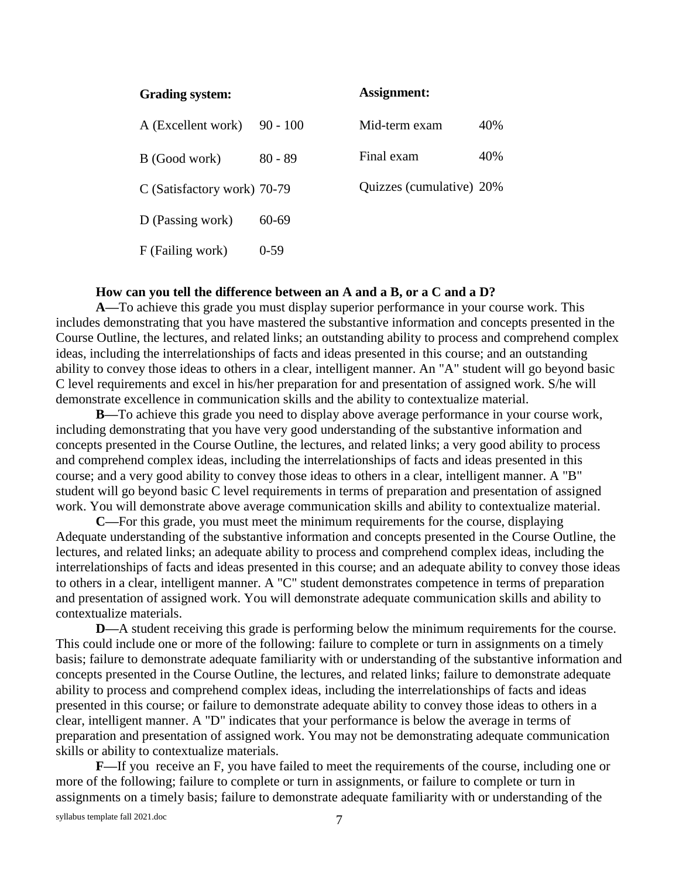| Grading system:             |            | Assignment:              |     |
|-----------------------------|------------|--------------------------|-----|
| A (Excellent work)          | $90 - 100$ | Mid-term exam            | 40% |
| B (Good work)               | $80 - 89$  | Final exam               | 40% |
| C (Satisfactory work) 70-79 |            | Quizzes (cumulative) 20% |     |
| D (Passing work)            | 60-69      |                          |     |
| F (Failing work)            | $0-59$     |                          |     |

#### **How can you tell the difference between an A and a B, or a C and a D?**

**A—**To achieve this grade you must display superior performance in your course work. This includes demonstrating that you have mastered the substantive information and concepts presented in the Course Outline, the lectures, and related links; an outstanding ability to process and comprehend complex ideas, including the interrelationships of facts and ideas presented in this course; and an outstanding ability to convey those ideas to others in a clear, intelligent manner. An "A" student will go beyond basic C level requirements and excel in his/her preparation for and presentation of assigned work. S/he will demonstrate excellence in communication skills and the ability to contextualize material.

**B—**To achieve this grade you need to display above average performance in your course work, including demonstrating that you have very good understanding of the substantive information and concepts presented in the Course Outline, the lectures, and related links; a very good ability to process and comprehend complex ideas, including the interrelationships of facts and ideas presented in this course; and a very good ability to convey those ideas to others in a clear, intelligent manner. A "B" student will go beyond basic C level requirements in terms of preparation and presentation of assigned work. You will demonstrate above average communication skills and ability to contextualize material.

**C—**For this grade, you must meet the minimum requirements for the course, displaying Adequate understanding of the substantive information and concepts presented in the Course Outline, the lectures, and related links; an adequate ability to process and comprehend complex ideas, including the interrelationships of facts and ideas presented in this course; and an adequate ability to convey those ideas to others in a clear, intelligent manner. A "C" student demonstrates competence in terms of preparation and presentation of assigned work. You will demonstrate adequate communication skills and ability to contextualize materials.

**D—**A student receiving this grade is performing below the minimum requirements for the course. This could include one or more of the following: failure to complete or turn in assignments on a timely basis; failure to demonstrate adequate familiarity with or understanding of the substantive information and concepts presented in the Course Outline, the lectures, and related links; failure to demonstrate adequate ability to process and comprehend complex ideas, including the interrelationships of facts and ideas presented in this course; or failure to demonstrate adequate ability to convey those ideas to others in a clear, intelligent manner. A "D" indicates that your performance is below the average in terms of preparation and presentation of assigned work. You may not be demonstrating adequate communication skills or ability to contextualize materials.

**F—**If you receive an F, you have failed to meet the requirements of the course, including one or more of the following; failure to complete or turn in assignments, or failure to complete or turn in assignments on a timely basis; failure to demonstrate adequate familiarity with or understanding of the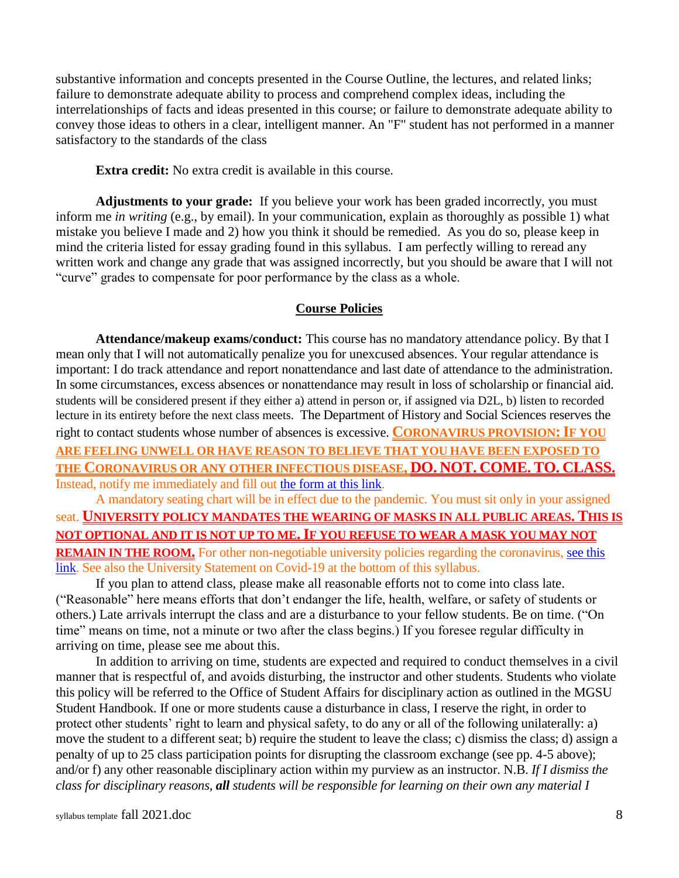substantive information and concepts presented in the Course Outline, the lectures, and related links; failure to demonstrate adequate ability to process and comprehend complex ideas, including the interrelationships of facts and ideas presented in this course; or failure to demonstrate adequate ability to convey those ideas to others in a clear, intelligent manner. An "F" student has not performed in a manner satisfactory to the standards of the class

**Extra credit:** No extra credit is available in this course.

**Adjustments to your grade:** If you believe your work has been graded incorrectly, you must inform me *in writing* (e.g., by email). In your communication, explain as thoroughly as possible 1) what mistake you believe I made and 2) how you think it should be remedied. As you do so, please keep in mind the criteria listed for essay grading found in this syllabus. I am perfectly willing to reread any written work and change any grade that was assigned incorrectly, but you should be aware that I will not "curve" grades to compensate for poor performance by the class as a whole.

## **Course Policies**

**Attendance/makeup exams/conduct:** This course has no mandatory attendance policy. By that I mean only that I will not automatically penalize you for unexcused absences. Your regular attendance is important: I do track attendance and report nonattendance and last date of attendance to the administration. In some circumstances, excess absences or nonattendance may result in loss of scholarship or financial aid. students will be considered present if they either a) attend in person or, if assigned via D2L, b) listen to recorded lecture in its entirety before the next class meets. The Department of History and Social Sciences reserves the right to contact students whose number of absences is excessive. **CORONAVIRUS PROVISION:IF YOU ARE FEELING UNWELL OR HAVE REASON TO BELIEVE THAT YOU HAVE BEEN EXPOSED TO THE CORONAVIRUS OR ANY OTHER INFECTIOUS DISEASE, DO. NOT. COME. TO. CLASS.** Instead, notify me immediately and fill out [the form at this link.](https://www.mga.edu/coronavirus/self-report.php)

A mandatory seating chart will be in effect due to the pandemic. You must sit only in your assigned seat. **UNIVERSITY POLICY MANDATES THE WEARING OF MASKS IN ALL PUBLIC AREAS. THIS IS NOT OPTIONAL AND IT IS NOT UP TO ME.IF YOU REFUSE TO WEAR A MASK YOU MAY NOT REMAIN IN THE ROOM.** For other non-negotiable university policies regarding the coronavirus, see this [link.](https://www.mga.edu/coronavirus/guidelines.php) See also the University Statement on Covid-19 at the bottom of this syllabus.

If you plan to attend class, please make all reasonable efforts not to come into class late. ("Reasonable" here means efforts that don't endanger the life, health, welfare, or safety of students or others.) Late arrivals interrupt the class and are a disturbance to your fellow students. Be on time. ("On time" means on time, not a minute or two after the class begins.) If you foresee regular difficulty in arriving on time, please see me about this.

In addition to arriving on time, students are expected and required to conduct themselves in a civil manner that is respectful of, and avoids disturbing, the instructor and other students. Students who violate this policy will be referred to the Office of Student Affairs for disciplinary action as outlined in the MGSU Student Handbook. If one or more students cause a disturbance in class, I reserve the right, in order to protect other students' right to learn and physical safety, to do any or all of the following unilaterally: a) move the student to a different seat; b) require the student to leave the class; c) dismiss the class; d) assign a penalty of up to 25 class participation points for disrupting the classroom exchange (see pp. 4-5 above); and/or f) any other reasonable disciplinary action within my purview as an instructor. N.B. *If I dismiss the class for disciplinary reasons, all students will be responsible for learning on their own any material I*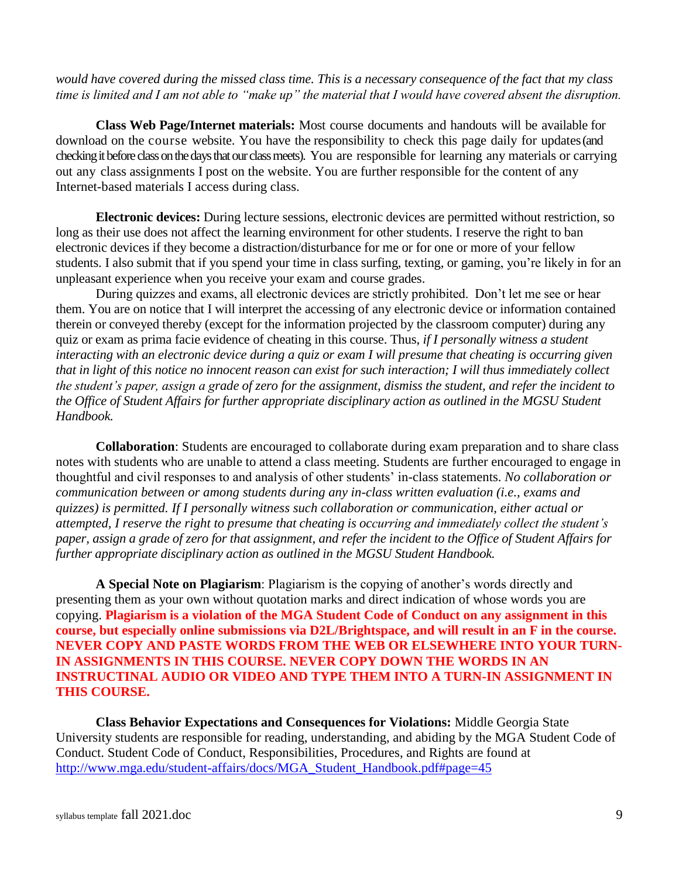*would have covered during the missed class time. This is a necessary consequence of the fact that my class time is limited and I am not able to "make up" the material that I would have covered absent the disruption.*

**Class Web Page/Internet materials:** Most course documents and handouts will be available for download on the course website. You have the responsibility to check this page daily for updates (and checking it before class on the days that our class meets). You are responsible for learning any materials or carrying out any class assignments I post on the website. You are further responsible for the content of any Internet-based materials I access during class.

**Electronic devices:** During lecture sessions, electronic devices are permitted without restriction, so long as their use does not affect the learning environment for other students. I reserve the right to ban electronic devices if they become a distraction/disturbance for me or for one or more of your fellow students. I also submit that if you spend your time in class surfing, texting, or gaming, you're likely in for an unpleasant experience when you receive your exam and course grades.

During quizzes and exams, all electronic devices are strictly prohibited. Don't let me see or hear them. You are on notice that I will interpret the accessing of any electronic device or information contained therein or conveyed thereby (except for the information projected by the classroom computer) during any quiz or exam as prima facie evidence of cheating in this course. Thus, *if I personally witness a student interacting with an electronic device during a quiz or exam I will presume that cheating is occurring given that in light of this notice no innocent reason can exist for such interaction; I will thus immediately collect the student's paper, assign a grade of zero for the assignment, dismiss the student, and refer the incident to the Office of Student Affairs for further appropriate disciplinary action as outlined in the MGSU Student Handbook.*

**Collaboration**: Students are encouraged to collaborate during exam preparation and to share class notes with students who are unable to attend a class meeting. Students are further encouraged to engage in thoughtful and civil responses to and analysis of other students' in-class statements. *No collaboration or communication between or among students during any in-class written evaluation (i.e., exams and quizzes) is permitted. If I personally witness such collaboration or communication, either actual or attempted, I reserve the right to presume that cheating is occurring and immediately collect the student's paper, assign a grade of zero for that assignment, and refer the incident to the Office of Student Affairs for further appropriate disciplinary action as outlined in the MGSU Student Handbook.*

**A Special Note on Plagiarism**: Plagiarism is the copying of another's words directly and presenting them as your own without quotation marks and direct indication of whose words you are copying. **Plagiarism is a violation of the MGA Student Code of Conduct on any assignment in this course, but especially online submissions via D2L/Brightspace, and will result in an F in the course. NEVER COPY AND PASTE WORDS FROM THE WEB OR ELSEWHERE INTO YOUR TURN-IN ASSIGNMENTS IN THIS COURSE. NEVER COPY DOWN THE WORDS IN AN INSTRUCTINAL AUDIO OR VIDEO AND TYPE THEM INTO A TURN-IN ASSIGNMENT IN THIS COURSE.**

**Class Behavior Expectations and Consequences for Violations:** Middle Georgia State University students are responsible for reading, understanding, and abiding by the MGA Student Code of Conduct. Student Code of Conduct, Responsibilities, Procedures, and Rights are found at [http://www.mga.edu/student-affairs/docs/MGA\\_Student\\_Handbook.pdf#page=45](http://www.mga.edu/student-affairs/docs/MGA_Student_Handbook.pdf#page=45)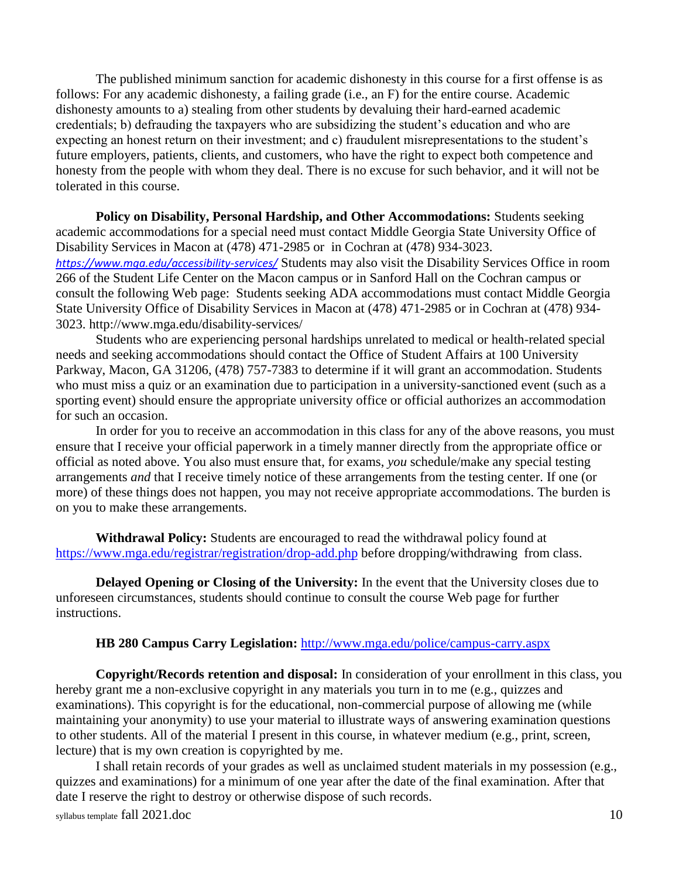The published minimum sanction for academic dishonesty in this course for a first offense is as follows: For any academic dishonesty, a failing grade (i.e., an F) for the entire course. Academic dishonesty amounts to a) stealing from other students by devaluing their hard-earned academic credentials; b) defrauding the taxpayers who are subsidizing the student's education and who are expecting an honest return on their investment; and c) fraudulent misrepresentations to the student's future employers, patients, clients, and customers, who have the right to expect both competence and honesty from the people with whom they deal. There is no excuse for such behavior, and it will not be tolerated in this course.

**Policy on Disability, Personal Hardship, and Other Accommodations:** Students seeking academic accommodations for a special need must contact Middle Georgia State University Office of Disability Services in Macon at (478) 471-2985 or in Cochran at (478) 934-3023. *<https://www.mga.edu/accessibility-services/>* Students may also visit the Disability Services Office in room 266 of the Student Life Center on the Macon campus or in Sanford Hall on the Cochran campus or consult the following Web page: Students seeking ADA accommodations must contact Middle Georgia State University Office of Disability Services in Macon at (478) 471-2985 or in Cochran at (478) 934- 3023.<http://www.mga.edu/disability-services/>

Students who are experiencing personal hardships unrelated to medical or health-related special needs and seeking accommodations should contact the Office of Student Affairs at 100 University Parkway, Macon, GA 31206, (478) 757-7383 to determine if it will grant an accommodation. Students who must miss a quiz or an examination due to participation in a university-sanctioned event (such as a sporting event) should ensure the appropriate university office or official authorizes an accommodation for such an occasion.

In order for you to receive an accommodation in this class for any of the above reasons, you must ensure that I receive your official paperwork in a timely manner directly from the appropriate office or official as noted above. You also must ensure that, for exams, *you* schedule/make any special testing arrangements *and* that I receive timely notice of these arrangements from the testing center. If one (or more) of these things does not happen, you may not receive appropriate accommodations. The burden is on you to make these arrangements.

**Withdrawal Policy:** Students are encouraged to read the withdrawal policy found at <https://www.mga.edu/registrar/registration/drop-add.php> before dropping/withdrawing from class.

**Delayed Opening or Closing of the University:** In the event that the University closes due to unforeseen circumstances, students should continue to consult the course Web page for further instructions.

#### **HB 280 Campus Carry Legislation:** <http://www.mga.edu/police/campus-carry.aspx>

**Copyright/Records retention and disposal:** In consideration of your enrollment in this class, you hereby grant me a non-exclusive copyright in any materials you turn in to me (e.g., quizzes and examinations). This copyright is for the educational, non-commercial purpose of allowing me (while maintaining your anonymity) to use your material to illustrate ways of answering examination questions to other students. All of the material I present in this course, in whatever medium (e.g., print, screen, lecture) that is my own creation is copyrighted by me.

I shall retain records of your grades as well as unclaimed student materials in my possession (e.g., quizzes and examinations) for a minimum of one year after the date of the final examination. After that date I reserve the right to destroy or otherwise dispose of such records.

syllabus template fall 2021.doc 10